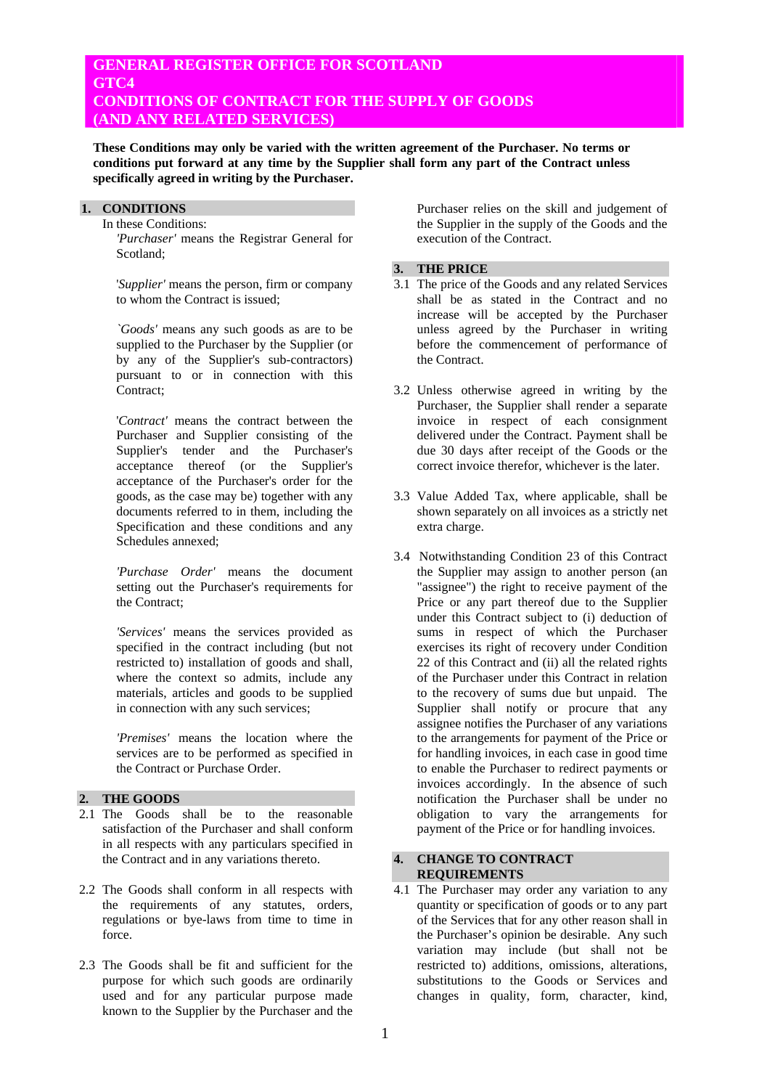# **GENERAL REGISTER OFFICE FOR SCOTLAND GTC4 CONDITIONS OF CONTRACT FOR THE SUPPLY OF GOODS (AND ANY RELATED SERVICES)**

**These Conditions may only be varied with the written agreement of the Purchaser. No terms or conditions put forward at any time by the Supplier shall form any part of the Contract unless specifically agreed in writing by the Purchaser.** 

# **1. CONDITIONS**

 In these Conditions:  *'Purchaser'* means the Registrar General for Scotland;

 '*Supplier'* means the person, firm or company to whom the Contract is issued;

 *`Goods'* means any such goods as are to be supplied to the Purchaser by the Supplier (or by any of the Supplier's sub-contractors) pursuant to or in connection with this Contract:

 '*Contract'* means the contract between the Purchaser and Supplier consisting of the Supplier's tender and the Purchaser's acceptance thereof (or the Supplier's acceptance of the Purchaser's order for the goods, as the case may be) together with any documents referred to in them, including the Specification and these conditions and any Schedules annexed;

 *'Purchase Order'* means the document setting out the Purchaser's requirements for the Contract;

 *'Services'* means the services provided as specified in the contract including (but not restricted to) installation of goods and shall, where the context so admits, include any materials, articles and goods to be supplied in connection with any such services;

 *'Premises'* means the location where the services are to be performed as specified in the Contract or Purchase Order.

# **2. THE GOODS**

- 2.1 The Goods shall be to the reasonable satisfaction of the Purchaser and shall conform in all respects with any particulars specified in the Contract and in any variations thereto.
- 2.2 The Goods shall conform in all respects with the requirements of any statutes, orders, regulations or bye-laws from time to time in force.
- 2.3 The Goods shall be fit and sufficient for the purpose for which such goods are ordinarily used and for any particular purpose made known to the Supplier by the Purchaser and the

Purchaser relies on the skill and judgement of the Supplier in the supply of the Goods and the execution of the Contract.

### **3. THE PRICE**

- 3.1 The price of the Goods and any related Services shall be as stated in the Contract and no increase will be accepted by the Purchaser unless agreed by the Purchaser in writing before the commencement of performance of the Contract.
- 3.2 Unless otherwise agreed in writing by the Purchaser, the Supplier shall render a separate invoice in respect of each consignment delivered under the Contract. Payment shall be due 30 days after receipt of the Goods or the correct invoice therefor, whichever is the later.
- 3.3 Value Added Tax, where applicable, shall be shown separately on all invoices as a strictly net extra charge.
- 3.4 Notwithstanding Condition 23 of this Contract the Supplier may assign to another person (an "assignee") the right to receive payment of the Price or any part thereof due to the Supplier under this Contract subject to (i) deduction of sums in respect of which the Purchaser exercises its right of recovery under Condition 22 of this Contract and (ii) all the related rights of the Purchaser under this Contract in relation to the recovery of sums due but unpaid. The Supplier shall notify or procure that any assignee notifies the Purchaser of any variations to the arrangements for payment of the Price or for handling invoices, in each case in good time to enable the Purchaser to redirect payments or invoices accordingly. In the absence of such notification the Purchaser shall be under no obligation to vary the arrangements for payment of the Price or for handling invoices.

#### **4. CHANGE TO CONTRACT REQUIREMENTS**

4.1 The Purchaser may order any variation to any quantity or specification of goods or to any part of the Services that for any other reason shall in the Purchaser's opinion be desirable. Any such variation may include (but shall not be restricted to) additions, omissions, alterations, substitutions to the Goods or Services and changes in quality, form, character, kind,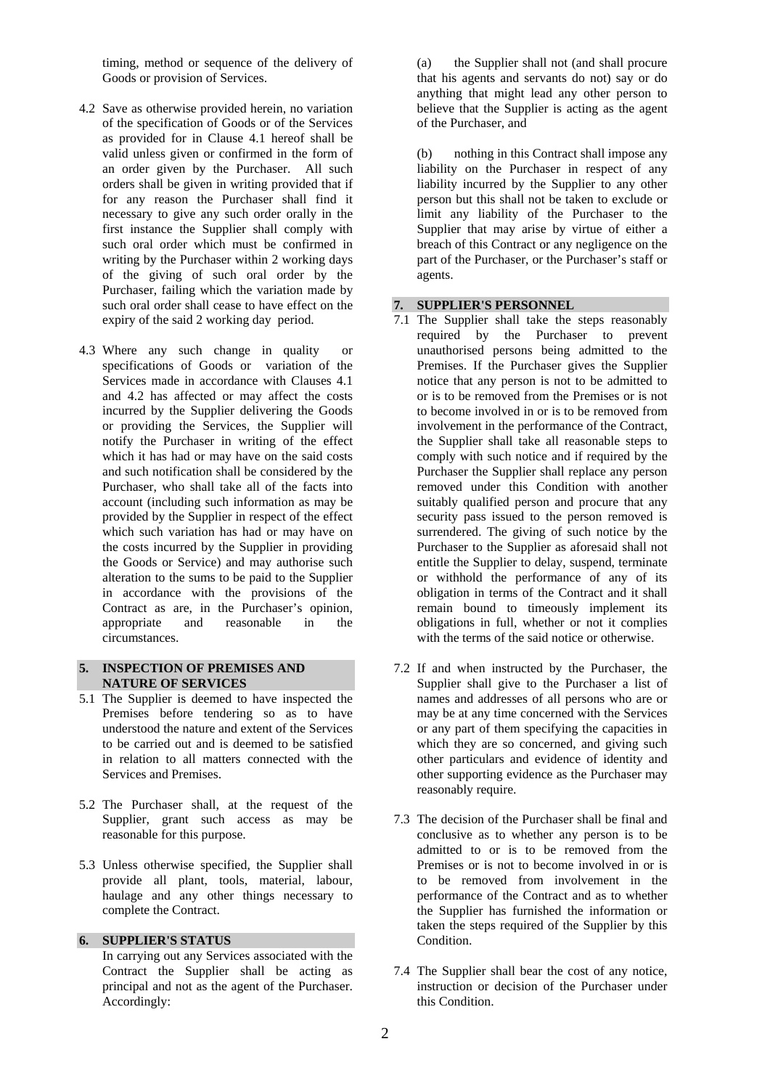timing, method or sequence of the delivery of Goods or provision of Services.

- 4.2 Save as otherwise provided herein, no variation of the specification of Goods or of the Services as provided for in Clause 4.1 hereof shall be valid unless given or confirmed in the form of an order given by the Purchaser. All such orders shall be given in writing provided that if for any reason the Purchaser shall find it necessary to give any such order orally in the first instance the Supplier shall comply with such oral order which must be confirmed in writing by the Purchaser within 2 working days of the giving of such oral order by the Purchaser, failing which the variation made by such oral order shall cease to have effect on the expiry of the said 2 working day period.
- 4.3 Where any such change in quality or specifications of Goods or variation of the Services made in accordance with Clauses 4.1 and 4.2 has affected or may affect the costs incurred by the Supplier delivering the Goods or providing the Services, the Supplier will notify the Purchaser in writing of the effect which it has had or may have on the said costs and such notification shall be considered by the Purchaser, who shall take all of the facts into account (including such information as may be provided by the Supplier in respect of the effect which such variation has had or may have on the costs incurred by the Supplier in providing the Goods or Service) and may authorise such alteration to the sums to be paid to the Supplier in accordance with the provisions of the Contract as are, in the Purchaser's opinion, appropriate and reasonable in the circumstances.

### **5. INSPECTION OF PREMISES AND NATURE OF SERVICES**

- 5.1 The Supplier is deemed to have inspected the Premises before tendering so as to have understood the nature and extent of the Services to be carried out and is deemed to be satisfied in relation to all matters connected with the Services and Premises.
- 5.2 The Purchaser shall, at the request of the Supplier, grant such access as may be reasonable for this purpose.
- 5.3 Unless otherwise specified, the Supplier shall provide all plant, tools, material, labour, haulage and any other things necessary to complete the Contract.

### **6. SUPPLIER'S STATUS**

 In carrying out any Services associated with the Contract the Supplier shall be acting as principal and not as the agent of the Purchaser. Accordingly:

 (a) the Supplier shall not (and shall procure that his agents and servants do not) say or do anything that might lead any other person to believe that the Supplier is acting as the agent of the Purchaser, and

 (b) nothing in this Contract shall impose any liability on the Purchaser in respect of any liability incurred by the Supplier to any other person but this shall not be taken to exclude or limit any liability of the Purchaser to the Supplier that may arise by virtue of either a breach of this Contract or any negligence on the part of the Purchaser, or the Purchaser's staff or agents.

#### **7. SUPPLIER'S PERSONNEL**

- 7.1 The Supplier shall take the steps reasonably required by the Purchaser to prevent unauthorised persons being admitted to the Premises. If the Purchaser gives the Supplier notice that any person is not to be admitted to or is to be removed from the Premises or is not to become involved in or is to be removed from involvement in the performance of the Contract, the Supplier shall take all reasonable steps to comply with such notice and if required by the Purchaser the Supplier shall replace any person removed under this Condition with another suitably qualified person and procure that any security pass issued to the person removed is surrendered. The giving of such notice by the Purchaser to the Supplier as aforesaid shall not entitle the Supplier to delay, suspend, terminate or withhold the performance of any of its obligation in terms of the Contract and it shall remain bound to timeously implement its obligations in full, whether or not it complies with the terms of the said notice or otherwise.
- 7.2 If and when instructed by the Purchaser, the Supplier shall give to the Purchaser a list of names and addresses of all persons who are or may be at any time concerned with the Services or any part of them specifying the capacities in which they are so concerned, and giving such other particulars and evidence of identity and other supporting evidence as the Purchaser may reasonably require.
- 7.3 The decision of the Purchaser shall be final and conclusive as to whether any person is to be admitted to or is to be removed from the Premises or is not to become involved in or is to be removed from involvement in the performance of the Contract and as to whether the Supplier has furnished the information or taken the steps required of the Supplier by this Condition.
- 7.4 The Supplier shall bear the cost of any notice, instruction or decision of the Purchaser under this Condition.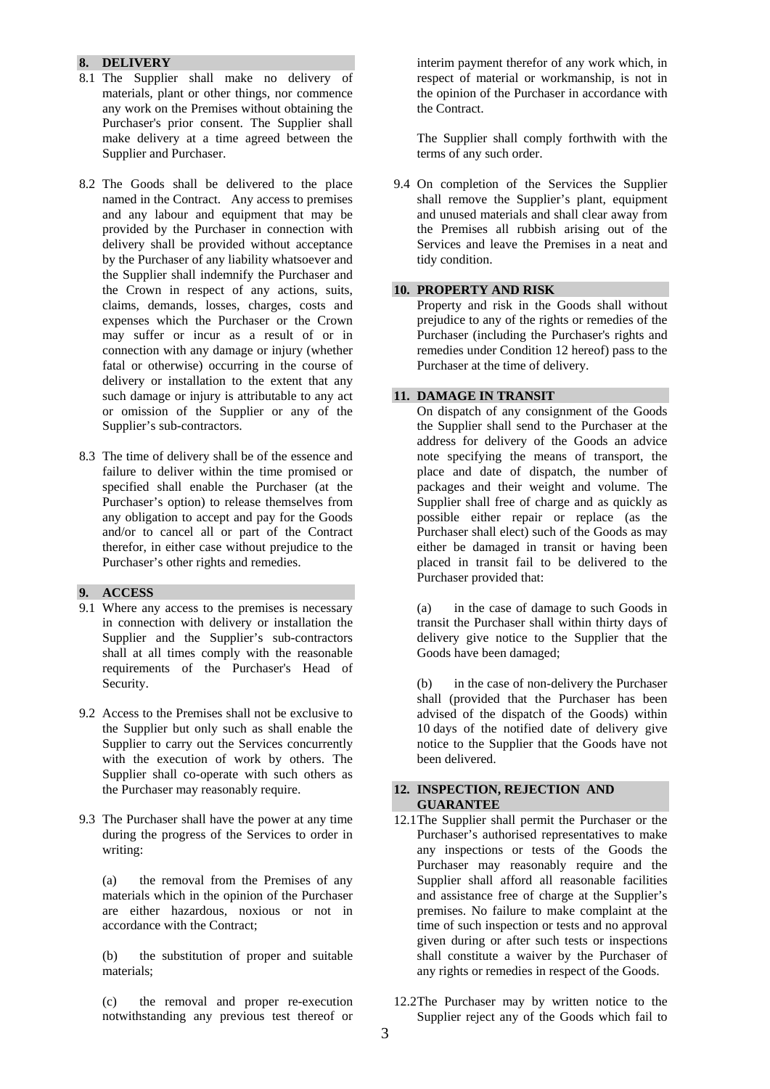## **8. DELIVERY**

- 8.1 The Supplier shall make no delivery of materials, plant or other things, nor commence any work on the Premises without obtaining the Purchaser's prior consent. The Supplier shall make delivery at a time agreed between the Supplier and Purchaser.
- 8.2 The Goods shall be delivered to the place named in the Contract. Any access to premises and any labour and equipment that may be provided by the Purchaser in connection with delivery shall be provided without acceptance by the Purchaser of any liability whatsoever and the Supplier shall indemnify the Purchaser and the Crown in respect of any actions, suits, claims, demands, losses, charges, costs and expenses which the Purchaser or the Crown may suffer or incur as a result of or in connection with any damage or injury (whether fatal or otherwise) occurring in the course of delivery or installation to the extent that any such damage or injury is attributable to any act or omission of the Supplier or any of the Supplier's sub-contractors.
- 8.3 The time of delivery shall be of the essence and failure to deliver within the time promised or specified shall enable the Purchaser (at the Purchaser's option) to release themselves from any obligation to accept and pay for the Goods and/or to cancel all or part of the Contract therefor, in either case without prejudice to the Purchaser's other rights and remedies.

# **9. ACCESS**

- 9.1 Where any access to the premises is necessary in connection with delivery or installation the Supplier and the Supplier's sub-contractors shall at all times comply with the reasonable requirements of the Purchaser's Head of Security.
- 9.2 Access to the Premises shall not be exclusive to the Supplier but only such as shall enable the Supplier to carry out the Services concurrently with the execution of work by others. The Supplier shall co-operate with such others as the Purchaser may reasonably require.
- 9.3 The Purchaser shall have the power at any time during the progress of the Services to order in writing:

 (a) the removal from the Premises of any materials which in the opinion of the Purchaser are either hazardous, noxious or not in accordance with the Contract;

 (b) the substitution of proper and suitable materials;

 (c) the removal and proper re-execution notwithstanding any previous test thereof or

interim payment therefor of any work which, in respect of material or workmanship, is not in the opinion of the Purchaser in accordance with the Contract.

 The Supplier shall comply forthwith with the terms of any such order.

9.4 On completion of the Services the Supplier shall remove the Supplier's plant, equipment and unused materials and shall clear away from the Premises all rubbish arising out of the Services and leave the Premises in a neat and tidy condition.

### **10. PROPERTY AND RISK**

 Property and risk in the Goods shall without prejudice to any of the rights or remedies of the Purchaser (including the Purchaser's rights and remedies under Condition 12 hereof) pass to the Purchaser at the time of delivery.

### **11. DAMAGE IN TRANSIT**

 On dispatch of any consignment of the Goods the Supplier shall send to the Purchaser at the address for delivery of the Goods an advice note specifying the means of transport, the place and date of dispatch, the number of packages and their weight and volume. The Supplier shall free of charge and as quickly as possible either repair or replace (as the Purchaser shall elect) such of the Goods as may either be damaged in transit or having been placed in transit fail to be delivered to the Purchaser provided that:

 (a) in the case of damage to such Goods in transit the Purchaser shall within thirty days of delivery give notice to the Supplier that the Goods have been damaged;

 (b) in the case of non-delivery the Purchaser shall (provided that the Purchaser has been advised of the dispatch of the Goods) within 10 days of the notified date of delivery give notice to the Supplier that the Goods have not been delivered.

# **12. INSPECTION, REJECTION AND GUARANTEE**

- 12.1 The Supplier shall permit the Purchaser or the Purchaser's authorised representatives to make any inspections or tests of the Goods the Purchaser may reasonably require and the Supplier shall afford all reasonable facilities and assistance free of charge at the Supplier's premises. No failure to make complaint at the time of such inspection or tests and no approval given during or after such tests or inspections shall constitute a waiver by the Purchaser of any rights or remedies in respect of the Goods.
- 12.2 The Purchaser may by written notice to the Supplier reject any of the Goods which fail to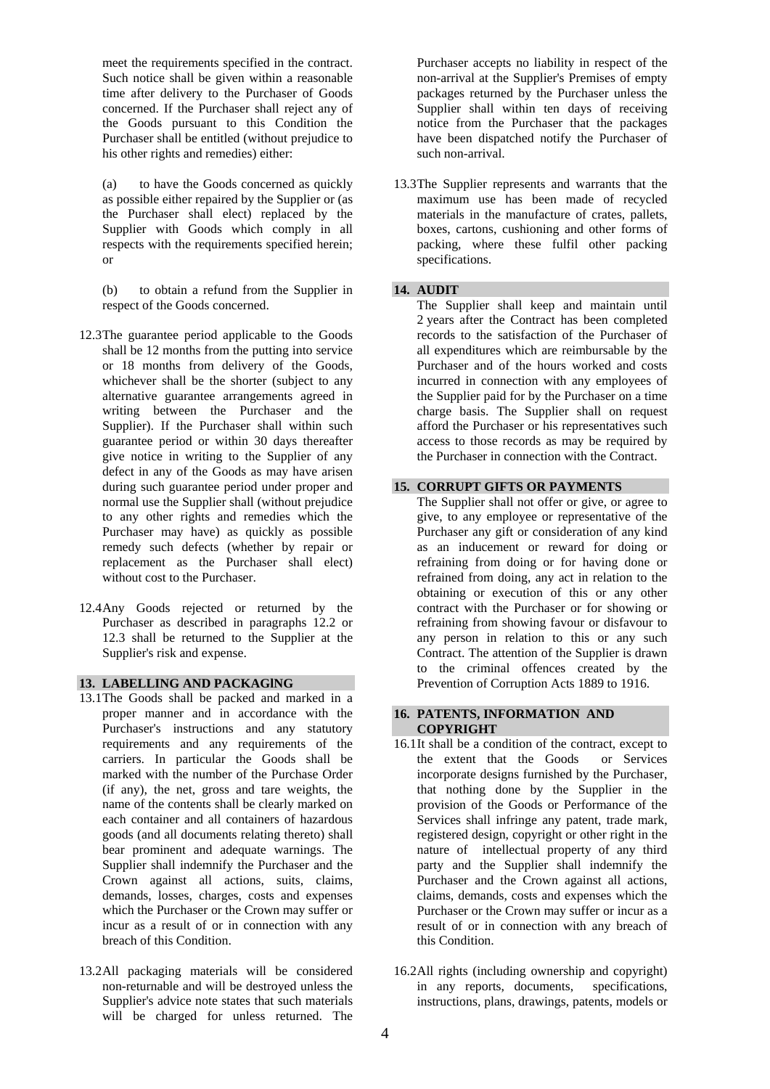meet the requirements specified in the contract. Such notice shall be given within a reasonable time after delivery to the Purchaser of Goods concerned. If the Purchaser shall reject any of the Goods pursuant to this Condition the Purchaser shall be entitled (without prejudice to his other rights and remedies) either:

 (a) to have the Goods concerned as quickly as possible either repaired by the Supplier or (as the Purchaser shall elect) replaced by the Supplier with Goods which comply in all respects with the requirements specified herein; or

 (b) to obtain a refund from the Supplier in respect of the Goods concerned.

- 12.3 The guarantee period applicable to the Goods shall be 12 months from the putting into service or 18 months from delivery of the Goods, whichever shall be the shorter (subject to any alternative guarantee arrangements agreed in writing between the Purchaser and the Supplier). If the Purchaser shall within such guarantee period or within 30 days thereafter give notice in writing to the Supplier of any defect in any of the Goods as may have arisen during such guarantee period under proper and normal use the Supplier shall (without prejudice to any other rights and remedies which the Purchaser may have) as quickly as possible remedy such defects (whether by repair or replacement as the Purchaser shall elect) without cost to the Purchaser.
- 12.4 Any Goods rejected or returned by the Purchaser as described in paragraphs 12.2 or 12.3 shall be returned to the Supplier at the Supplier's risk and expense.

### **13. LABELLING AND PACKAGlNG**

- 13.1 The Goods shall be packed and marked in a proper manner and in accordance with the Purchaser's instructions and any statutory requirements and any requirements of the carriers. In particular the Goods shall be marked with the number of the Purchase Order (if any), the net, gross and tare weights, the name of the contents shall be clearly marked on each container and all containers of hazardous goods (and all documents relating thereto) shall bear prominent and adequate warnings. The Supplier shall indemnify the Purchaser and the Crown against all actions, suits, claims, demands, losses, charges, costs and expenses which the Purchaser or the Crown may suffer or incur as a result of or in connection with any breach of this Condition.
- 13.2 All packaging materials will be considered non-returnable and will be destroyed unless the Supplier's advice note states that such materials will be charged for unless returned. The

Purchaser accepts no liability in respect of the non-arrival at the Supplier's Premises of empty packages returned by the Purchaser unless the Supplier shall within ten days of receiving notice from the Purchaser that the packages have been dispatched notify the Purchaser of such non-arrival.

13.3 The Supplier represents and warrants that the maximum use has been made of recycled materials in the manufacture of crates, pallets, boxes, cartons, cushioning and other forms of packing, where these fulfil other packing specifications.

### **14. AUDIT**

 The Supplier shall keep and maintain until 2 years after the Contract has been completed records to the satisfaction of the Purchaser of all expenditures which are reimbursable by the Purchaser and of the hours worked and costs incurred in connection with any employees of the Supplier paid for by the Purchaser on a time charge basis. The Supplier shall on request afford the Purchaser or his representatives such access to those records as may be required by the Purchaser in connection with the Contract.

#### **15. CORRUPT GIFTS OR PAYMENTS**

 The Supplier shall not offer or give, or agree to give, to any employee or representative of the Purchaser any gift or consideration of any kind as an inducement or reward for doing or refraining from doing or for having done or refrained from doing, any act in relation to the obtaining or execution of this or any other contract with the Purchaser or for showing or refraining from showing favour or disfavour to any person in relation to this or any such Contract. The attention of the Supplier is drawn to the criminal offences created by the Prevention of Corruption Acts 1889 to 1916.

## **16. PATENTS, INFORMATION AND COPYRIGHT**

- 16.1 It shall be a condition of the contract, except to the extent that the Goods or Services incorporate designs furnished by the Purchaser, that nothing done by the Supplier in the provision of the Goods or Performance of the Services shall infringe any patent, trade mark, registered design, copyright or other right in the nature of intellectual property of any third party and the Supplier shall indemnify the Purchaser and the Crown against all actions, claims, demands, costs and expenses which the Purchaser or the Crown may suffer or incur as a result of or in connection with any breach of this Condition.
- 16.2 All rights (including ownership and copyright) in any reports, documents, specifications, instructions, plans, drawings, patents, models or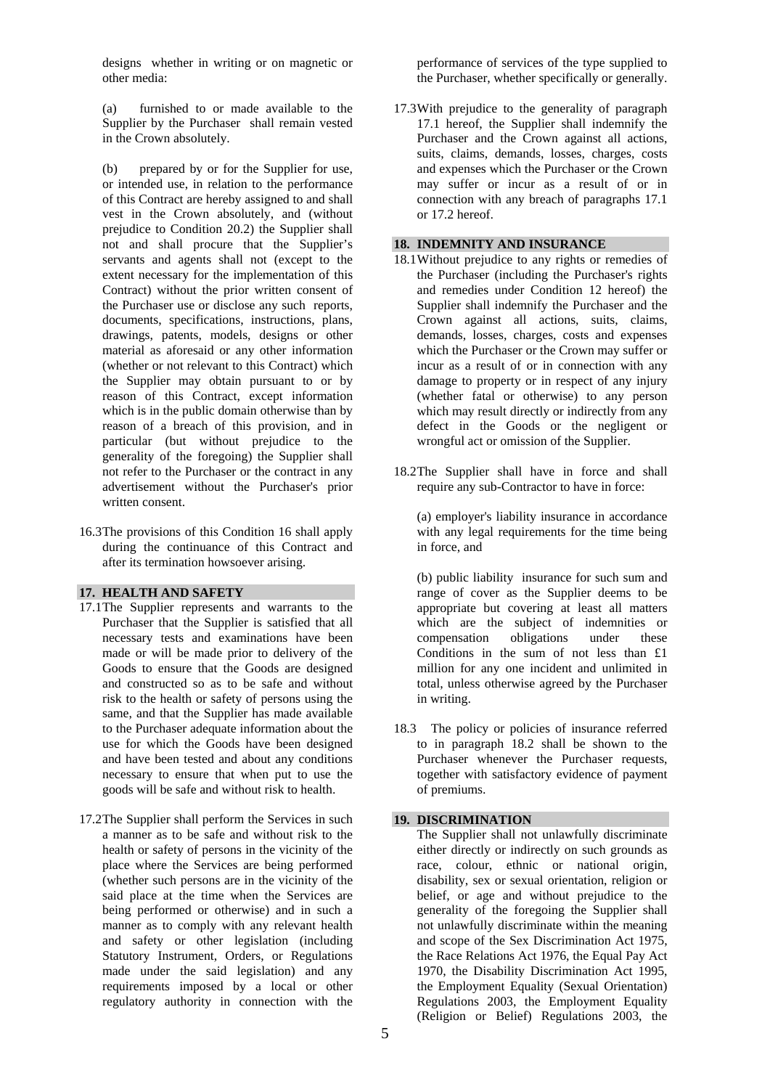designs whether in writing or on magnetic or other media:

 (a) furnished to or made available to the Supplier by the Purchaser shall remain vested in the Crown absolutely.

 (b) prepared by or for the Supplier for use, or intended use, in relation to the performance of this Contract are hereby assigned to and shall vest in the Crown absolutely, and (without prejudice to Condition 20.2) the Supplier shall not and shall procure that the Supplier's servants and agents shall not (except to the extent necessary for the implementation of this Contract) without the prior written consent of the Purchaser use or disclose any such reports, documents, specifications, instructions, plans, drawings, patents, models, designs or other material as aforesaid or any other information (whether or not relevant to this Contract) which the Supplier may obtain pursuant to or by reason of this Contract, except information which is in the public domain otherwise than by reason of a breach of this provision, and in particular (but without prejudice to the generality of the foregoing) the Supplier shall not refer to the Purchaser or the contract in any advertisement without the Purchaser's prior written consent.

16.3 The provisions of this Condition 16 shall apply during the continuance of this Contract and after its termination howsoever arising.

### **17. HEALTH AND SAFETY**

- 17.1 The Supplier represents and warrants to the Purchaser that the Supplier is satisfied that all necessary tests and examinations have been made or will be made prior to delivery of the Goods to ensure that the Goods are designed and constructed so as to be safe and without risk to the health or safety of persons using the same, and that the Supplier has made available to the Purchaser adequate information about the use for which the Goods have been designed and have been tested and about any conditions necessary to ensure that when put to use the goods will be safe and without risk to health.
- 17.2 The Supplier shall perform the Services in such a manner as to be safe and without risk to the health or safety of persons in the vicinity of the place where the Services are being performed (whether such persons are in the vicinity of the said place at the time when the Services are being performed or otherwise) and in such a manner as to comply with any relevant health and safety or other legislation (including Statutory Instrument, Orders, or Regulations made under the said legislation) and any requirements imposed by a local or other regulatory authority in connection with the

performance of services of the type supplied to the Purchaser, whether specifically or generally.

17.3 With prejudice to the generality of paragraph 17.1 hereof, the Supplier shall indemnify the Purchaser and the Crown against all actions, suits, claims, demands, losses, charges, costs and expenses which the Purchaser or the Crown may suffer or incur as a result of or in connection with any breach of paragraphs 17.1 or 17.2 hereof.

## **18. INDEMNITY AND INSURANCE**

- 18.1 Without prejudice to any rights or remedies of the Purchaser (including the Purchaser's rights and remedies under Condition 12 hereof) the Supplier shall indemnify the Purchaser and the Crown against all actions, suits, claims, demands, losses, charges, costs and expenses which the Purchaser or the Crown may suffer or incur as a result of or in connection with any damage to property or in respect of any injury (whether fatal or otherwise) to any person which may result directly or indirectly from any defect in the Goods or the negligent or wrongful act or omission of the Supplier.
- 18.2 The Supplier shall have in force and shall require any sub-Contractor to have in force:

 (a) employer's liability insurance in accordance with any legal requirements for the time being in force, and

 (b) public liability insurance for such sum and range of cover as the Supplier deems to be appropriate but covering at least all matters which are the subject of indemnities or compensation obligations under these Conditions in the sum of not less than £1 million for any one incident and unlimited in total, unless otherwise agreed by the Purchaser in writing.

18.3 The policy or policies of insurance referred to in paragraph 18.2 shall be shown to the Purchaser whenever the Purchaser requests, together with satisfactory evidence of payment of premiums.

# **19. DISCRIMINATION**

 The Supplier shall not unlawfully discriminate either directly or indirectly on such grounds as race, colour, ethnic or national origin, disability, sex or sexual orientation, religion or belief, or age and without prejudice to the generality of the foregoing the Supplier shall not unlawfully discriminate within the meaning and scope of the Sex Discrimination Act 1975, the Race Relations Act 1976, the Equal Pay Act 1970, the Disability Discrimination Act 1995, the Employment Equality (Sexual Orientation) Regulations 2003, the Employment Equality (Religion or Belief) Regulations 2003, the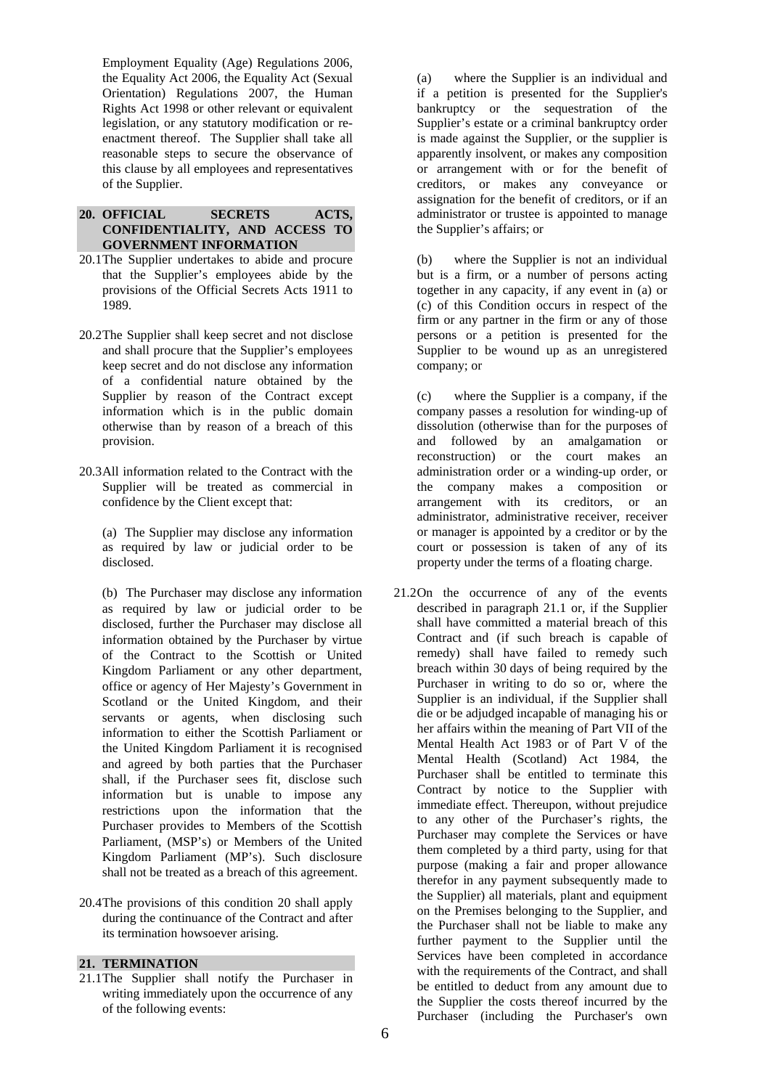Employment Equality (Age) Regulations 2006, the Equality Act 2006, the Equality Act (Sexual Orientation) Regulations 2007, the Human Rights Act 1998 or other relevant or equivalent legislation, or any statutory modification or reenactment thereof. The Supplier shall take all reasonable steps to secure the observance of this clause by all employees and representatives of the Supplier.

### **20. OFFICIAL SECRETS ACTS, CONFIDENTIALITY, AND ACCESS TO GOVERNMENT INFORMATION**

- 20.1 The Supplier undertakes to abide and procure that the Supplier's employees abide by the provisions of the Official Secrets Acts 1911 to 1989.
- 20.2 The Supplier shall keep secret and not disclose and shall procure that the Supplier's employees keep secret and do not disclose any information of a confidential nature obtained by the Supplier by reason of the Contract except information which is in the public domain otherwise than by reason of a breach of this provision.
- 20.3 All information related to the Contract with the Supplier will be treated as commercial in confidence by the Client except that:

 (a) The Supplier may disclose any information as required by law or judicial order to be disclosed.

(b) The Purchaser may disclose any information as required by law or judicial order to be disclosed, further the Purchaser may disclose all information obtained by the Purchaser by virtue of the Contract to the Scottish or United Kingdom Parliament or any other department, office or agency of Her Majesty's Government in Scotland or the United Kingdom, and their servants or agents, when disclosing such information to either the Scottish Parliament or the United Kingdom Parliament it is recognised and agreed by both parties that the Purchaser shall, if the Purchaser sees fit, disclose such information but is unable to impose any restrictions upon the information that the Purchaser provides to Members of the Scottish Parliament, (MSP's) or Members of the United Kingdom Parliament (MP's). Such disclosure shall not be treated as a breach of this agreement.

20.4 The provisions of this condition 20 shall apply during the continuance of the Contract and after its termination howsoever arising.

#### **21. TERMINATION**

21.1 The Supplier shall notify the Purchaser in writing immediately upon the occurrence of any of the following events:

 (a) where the Supplier is an individual and if a petition is presented for the Supplier's bankruptcy or the sequestration of the Supplier's estate or a criminal bankruptcy order is made against the Supplier, or the supplier is apparently insolvent, or makes any composition or arrangement with or for the benefit of creditors, or makes any conveyance or assignation for the benefit of creditors, or if an administrator or trustee is appointed to manage the Supplier's affairs; or

 (b) where the Supplier is not an individual but is a firm, or a number of persons acting together in any capacity, if any event in (a) or (c) of this Condition occurs in respect of the firm or any partner in the firm or any of those persons or a petition is presented for the Supplier to be wound up as an unregistered company; or

 (c) where the Supplier is a company, if the company passes a resolution for winding-up of dissolution (otherwise than for the purposes of and followed by an amalgamation or reconstruction) or the court makes an administration order or a winding-up order, or the company makes a composition or arrangement with its creditors, or an administrator, administrative receiver, receiver or manager is appointed by a creditor or by the court or possession is taken of any of its property under the terms of a floating charge.

21.2 On the occurrence of any of the events described in paragraph 21.1 or, if the Supplier shall have committed a material breach of this Contract and (if such breach is capable of remedy) shall have failed to remedy such breach within 30 days of being required by the Purchaser in writing to do so or, where the Supplier is an individual, if the Supplier shall die or be adjudged incapable of managing his or her affairs within the meaning of Part VII of the Mental Health Act 1983 or of Part V of the Mental Health (Scotland) Act 1984, the Purchaser shall be entitled to terminate this Contract by notice to the Supplier with immediate effect. Thereupon, without prejudice to any other of the Purchaser's rights, the Purchaser may complete the Services or have them completed by a third party, using for that purpose (making a fair and proper allowance therefor in any payment subsequently made to the Supplier) all materials, plant and equipment on the Premises belonging to the Supplier, and the Purchaser shall not be liable to make any further payment to the Supplier until the Services have been completed in accordance with the requirements of the Contract, and shall be entitled to deduct from any amount due to the Supplier the costs thereof incurred by the Purchaser (including the Purchaser's own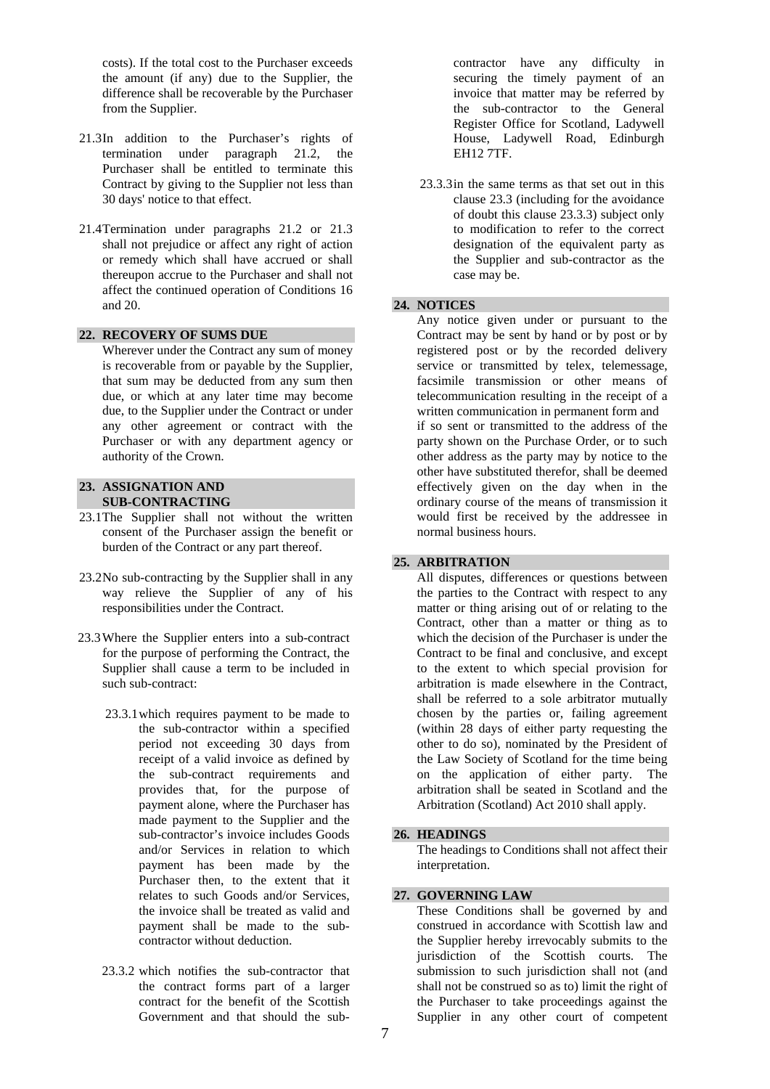costs). If the total cost to the Purchaser exceeds the amount (if any) due to the Supplier, the difference shall be recoverable by the Purchaser from the Supplier.

- 21.3 In addition to the Purchaser's rights of termination under paragraph 21.2, the Purchaser shall be entitled to terminate this Contract by giving to the Supplier not less than 30 days' notice to that effect.
- 21.4 Termination under paragraphs 21.2 or 21.3 shall not prejudice or affect any right of action or remedy which shall have accrued or shall thereupon accrue to the Purchaser and shall not affect the continued operation of Conditions 16 and 20.

## **22. RECOVERY OF SUMS DUE**

 Wherever under the Contract any sum of money is recoverable from or payable by the Supplier, that sum may be deducted from any sum then due, or which at any later time may become due, to the Supplier under the Contract or under any other agreement or contract with the Purchaser or with any department agency or authority of the Crown.

## **23. ASSIGNATION AND SUB-CONTRACTING**

- 23.1 The Supplier shall not without the written consent of the Purchaser assign the benefit or burden of the Contract or any part thereof.
- 23.2 No sub-contracting by the Supplier shall in any way relieve the Supplier of any of his responsibilities under the Contract.
- 23.3 Where the Supplier enters into a sub-contract for the purpose of performing the Contract, the Supplier shall cause a term to be included in such sub-contract:
	- 23.3.1 which requires payment to be made to the sub-contractor within a specified period not exceeding 30 days from receipt of a valid invoice as defined by the sub-contract requirements and provides that, for the purpose of payment alone, where the Purchaser has made payment to the Supplier and the sub-contractor's invoice includes Goods and/or Services in relation to which payment has been made by the Purchaser then, to the extent that it relates to such Goods and/or Services, the invoice shall be treated as valid and payment shall be made to the subcontractor without deduction.
	- 23.3.2 which notifies the sub-contractor that the contract forms part of a larger contract for the benefit of the Scottish Government and that should the sub-

contractor have any difficulty in securing the timely payment of an invoice that matter may be referred by the sub-contractor to the General Register Office for Scotland, Ladywell House, Ladywell Road, Edinburgh EH12 7TF.

 23.3.3 in the same terms as that set out in this clause 23.3 (including for the avoidance of doubt this clause 23.3.3) subject only to modification to refer to the correct designation of the equivalent party as the Supplier and sub-contractor as the case may be.

## **24. NOTICES**

 Any notice given under or pursuant to the Contract may be sent by hand or by post or by registered post or by the recorded delivery service or transmitted by telex, telemessage, facsimile transmission or other means of telecommunication resulting in the receipt of a written communication in permanent form and if so sent or transmitted to the address of the party shown on the Purchase Order, or to such other address as the party may by notice to the other have substituted therefor, shall be deemed effectively given on the day when in the ordinary course of the means of transmission it would first be received by the addressee in normal business hours.

#### **25. ARBITRATION**

 All disputes, differences or questions between the parties to the Contract with respect to any matter or thing arising out of or relating to the Contract, other than a matter or thing as to which the decision of the Purchaser is under the Contract to be final and conclusive, and except to the extent to which special provision for arbitration is made elsewhere in the Contract, shall be referred to a sole arbitrator mutually chosen by the parties or, failing agreement (within 28 days of either party requesting the other to do so), nominated by the President of the Law Society of Scotland for the time being on the application of either party. The arbitration shall be seated in Scotland and the Arbitration (Scotland) Act 2010 shall apply.

#### **26. HEADINGS**

 The headings to Conditions shall not affect their interpretation.

## **27. GOVERNING LAW**

These Conditions shall be governed by and construed in accordance with Scottish law and the Supplier hereby irrevocably submits to the jurisdiction of the Scottish courts. The submission to such jurisdiction shall not (and shall not be construed so as to) limit the right of the Purchaser to take proceedings against the Supplier in any other court of competent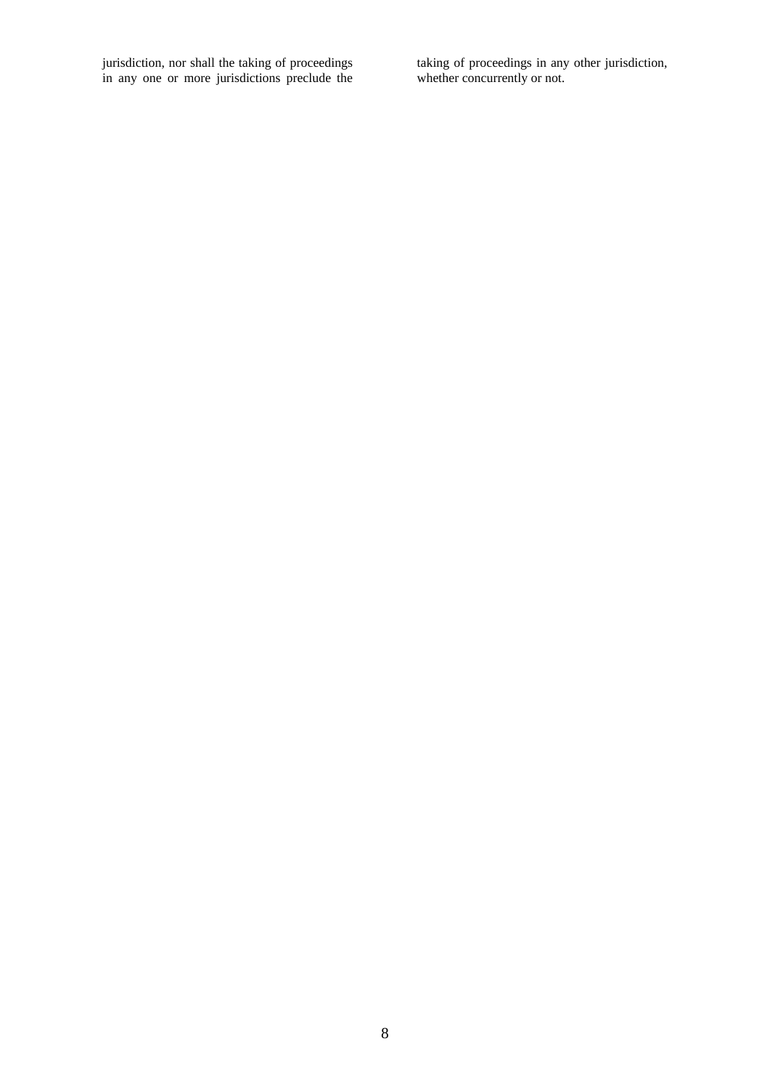jurisdiction, nor shall the taking of proceedings in any one or more jurisdictions preclude the taking of proceedings in any other jurisdiction, whether concurrently or not.